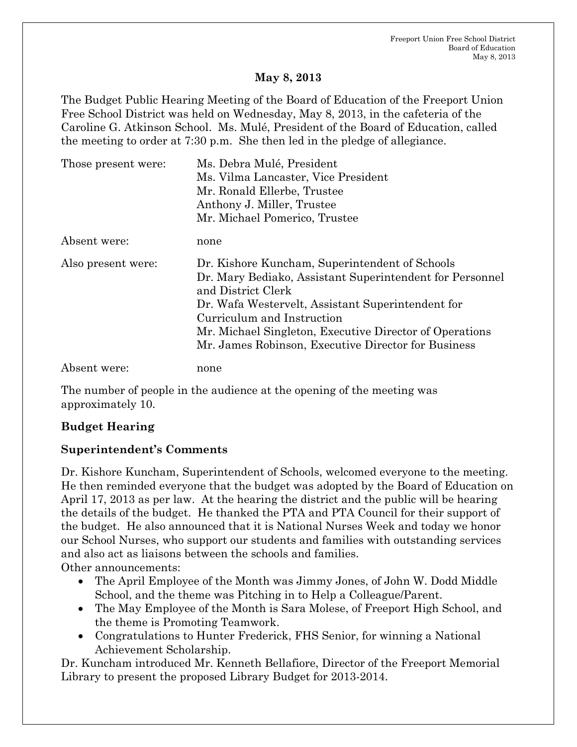#### **May 8, 2013**

The Budget Public Hearing Meeting of the Board of Education of the Freeport Union Free School District was held on Wednesday, May 8, 2013, in the cafeteria of the Caroline G. Atkinson School. Ms. Mulé, President of the Board of Education, called the meeting to order at 7:30 p.m. She then led in the pledge of allegiance.

| Those present were: | Ms. Debra Mulé, President                                |
|---------------------|----------------------------------------------------------|
|                     | Ms. Vilma Lancaster, Vice President                      |
|                     | Mr. Ronald Ellerbe, Trustee                              |
|                     | Anthony J. Miller, Trustee                               |
|                     | Mr. Michael Pomerico, Trustee                            |
| Absent were:        | none                                                     |
| Also present were:  | Dr. Kishore Kuncham, Superintendent of Schools           |
|                     | Dr. Mary Bediako, Assistant Superintendent for Personnel |
|                     | and District Clerk                                       |
|                     | Dr. Wafa Westervelt, Assistant Superintendent for        |
|                     | Curriculum and Instruction                               |
|                     | Mr. Michael Singleton, Executive Director of Operations  |
|                     | Mr. James Robinson, Executive Director for Business      |
| Absent were:        | none                                                     |

The number of people in the audience at the opening of the meeting was approximately 10.

#### **Budget Hearing**

#### **Superintendent's Comments**

Dr. Kishore Kuncham, Superintendent of Schools, welcomed everyone to the meeting. He then reminded everyone that the budget was adopted by the Board of Education on April 17, 2013 as per law. At the hearing the district and the public will be hearing the details of the budget. He thanked the PTA and PTA Council for their support of the budget. He also announced that it is National Nurses Week and today we honor our School Nurses, who support our students and families with outstanding services and also act as liaisons between the schools and families.

Other announcements:

- The April Employee of the Month was Jimmy Jones, of John W. Dodd Middle School, and the theme was Pitching in to Help a Colleague/Parent.
- The May Employee of the Month is Sara Molese, of Freeport High School, and the theme is Promoting Teamwork.
- Congratulations to Hunter Frederick, FHS Senior, for winning a National Achievement Scholarship.

Dr. Kuncham introduced Mr. Kenneth Bellafiore, Director of the Freeport Memorial Library to present the proposed Library Budget for 2013-2014.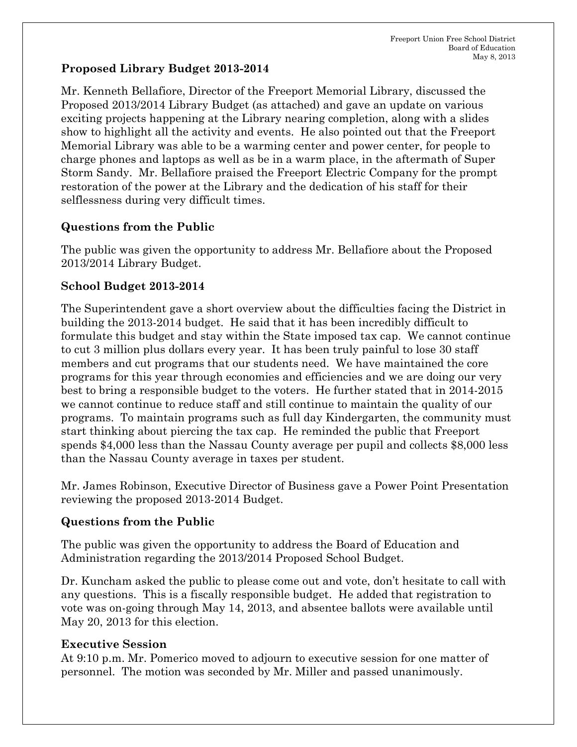### **Proposed Library Budget 2013-2014**

Mr. Kenneth Bellafiore, Director of the Freeport Memorial Library, discussed the Proposed 2013/2014 Library Budget (as attached) and gave an update on various exciting projects happening at the Library nearing completion, along with a slides show to highlight all the activity and events. He also pointed out that the Freeport Memorial Library was able to be a warming center and power center, for people to charge phones and laptops as well as be in a warm place, in the aftermath of Super Storm Sandy. Mr. Bellafiore praised the Freeport Electric Company for the prompt restoration of the power at the Library and the dedication of his staff for their selflessness during very difficult times.

# **Questions from the Public**

The public was given the opportunity to address Mr. Bellafiore about the Proposed 2013/2014 Library Budget.

# **School Budget 2013-2014**

The Superintendent gave a short overview about the difficulties facing the District in building the 2013-2014 budget. He said that it has been incredibly difficult to formulate this budget and stay within the State imposed tax cap. We cannot continue to cut 3 million plus dollars every year. It has been truly painful to lose 30 staff members and cut programs that our students need. We have maintained the core programs for this year through economies and efficiencies and we are doing our very best to bring a responsible budget to the voters. He further stated that in 2014-2015 we cannot continue to reduce staff and still continue to maintain the quality of our programs. To maintain programs such as full day Kindergarten, the community must start thinking about piercing the tax cap. He reminded the public that Freeport spends \$4,000 less than the Nassau County average per pupil and collects \$8,000 less than the Nassau County average in taxes per student.

Mr. James Robinson, Executive Director of Business gave a Power Point Presentation reviewing the proposed 2013-2014 Budget.

# **Questions from the Public**

The public was given the opportunity to address the Board of Education and Administration regarding the 2013/2014 Proposed School Budget.

Dr. Kuncham asked the public to please come out and vote, don't hesitate to call with any questions. This is a fiscally responsible budget. He added that registration to vote was on-going through May 14, 2013, and absentee ballots were available until May 20, 2013 for this election.

# **Executive Session**

At 9:10 p.m. Mr. Pomerico moved to adjourn to executive session for one matter of personnel. The motion was seconded by Mr. Miller and passed unanimously.